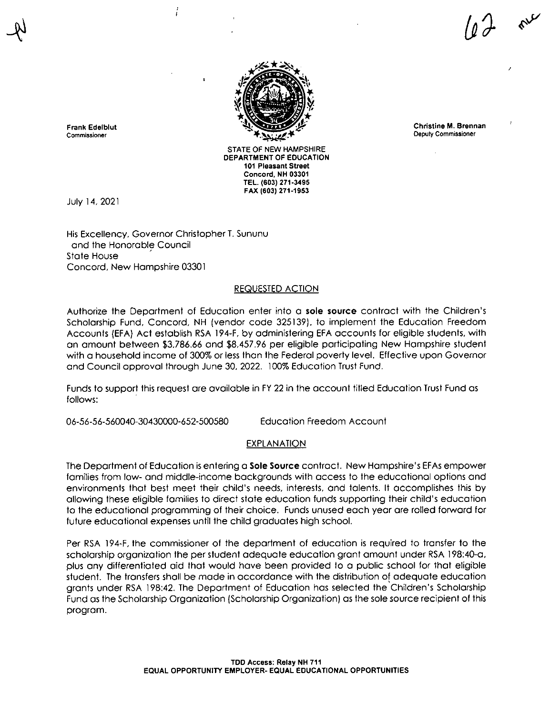

Christine M. Brennan Deputy Commissioner

 $\mathsf{v}$ 

 $\mathbf{r}$ 

Frank Edelblut Commissioner

> STATE OF NEW HAMPSHIRE DEPARTMENT OF EDUCATiON 101 Pleasant Street Concord, NH 03301 TEL. (603) 271-3495 FAX (603) 271-1953

July 14, 2021

His Excellency, Governor Christopher T. Sununu and the Honorable Council State House Concord, New Hampshire 03301

ì

#### REQUESTED ACTION

Authorize the Department of Education enter into a sole source contract with the Children's Scholarship Fund, Concord, NH (vendor code 325139), to implement the Education Freedom Accounts (EFA) Act establish RSA 194-F, by administering EFA accounts for eligible students, with an amount between \$3,786.66 and \$8,457.96 per eligible participating New Hampshire student with a household income of 300% or less than the Federal poverty level. Effective upon Governor and Council approval through June 30. 2022. 100% Education Trust Fund.

Funds to support this request are available in FY 22 in the account titled Education Trust Fund as follows:

06-56-56-560040-30430000-652-500580 Education Freedom Account

#### **EXPLANATION**

The Department of Education is entering a Sole Source contract. New Hampshire's EFAs empower families from low- and middle-income backgrounds with access to the educational options and environments that best meet their child's needs, interests, and talents. It accomplishes this by allowing these eligible families to direct state education funds supporting their child's education to the educational programming of their choice. Funds unused each year are rolled forward for future educational expenses until the child graduates high school.

Per RSA 194-F, the commissioner of the department of education is required to transfer to the scholarship organization the per student adequate education grant amount under RSA 198:40-a, plus any differentiated aid that would have been provided to a public school for that eligible student. The transfers shall be made in accordance with the distribution of adequate education grants under RSA 198:42. The Department of Education has selected the Children's Scholarship Fund as the Scholarship Organization (Scholarship Organization) as the sole source recipient of this program.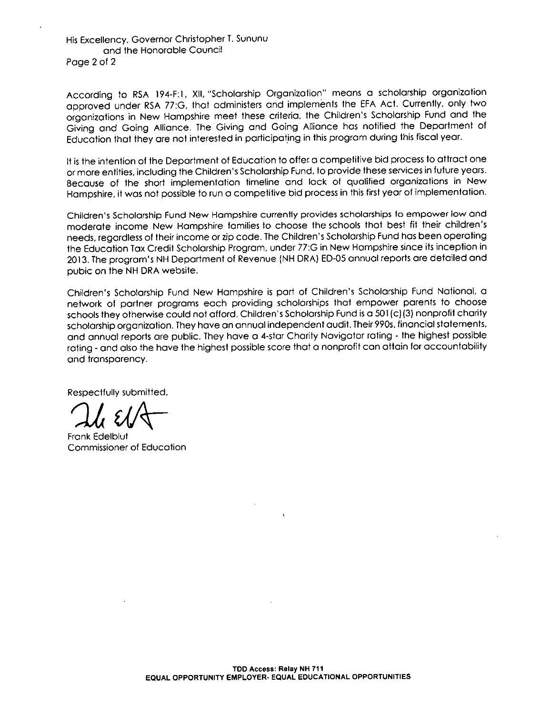## His Excellency, Governor Christopher T. Sununu and the Honorable Council Page 2 of 2

According to RSA 194-F:1, XII, "Scholarship Organization" means a scholarship organization approved under RSA 77:G, that administers and implements the EFA Act. Currently, only two organizations in New Hampshire meet these criteria, the Children's Scholarship Fund and the Giving and Going Alliance. The Giving and Going Alliance has notified the Department of Education that they are not interested in participating in this program during this fiscal year.

It is the intention of fhe Department of Education to offer a competitive bid process to attract one or more entities, including the Children's Scholarship Fund, to provide these services in future years. Because of the short implementation timeline and lock of qualified organizations in New Hampshire, it was not possible to run a competitive bid process in this first year of implementation.

Children's Scholarship Fund New Hampshire currently provides scholarships to empower low and moderate income New Hampshire families to choose the schools that best fit their children's needs, regardless of fheir income or zip code. The Children's Scholarship Fund has been operating the Education Tax Credit Scholarship Program, under 77:G in New Hampshire since its inception in 2013. The program's NH Department of Revenue (NH DRA) ED-05 annual reports are detailed and pubic on the NH DRA website.

Children's Scholarship Fund New Hampshire is part of Children's Scholarship Fund National, a network of partner programs each providing scholarships that empower parents to choose schools they otherwise could not afford. Children's Scholarship Fund is a 501 (c) (3) nonprofit charity scholarship organization. They have an annual independent audit. Their 990s, financial statements, and annual reports ore public. They have a 4-star Charity Navigator rating - the highest possible rating - and also the have the highest possible score that a nonprofit can attain for accountability and transparency.

Respectfully submitted.

 $\mathcal{U}\in\mathcal{U}$ 

Frank Edelblut Commissioner of Education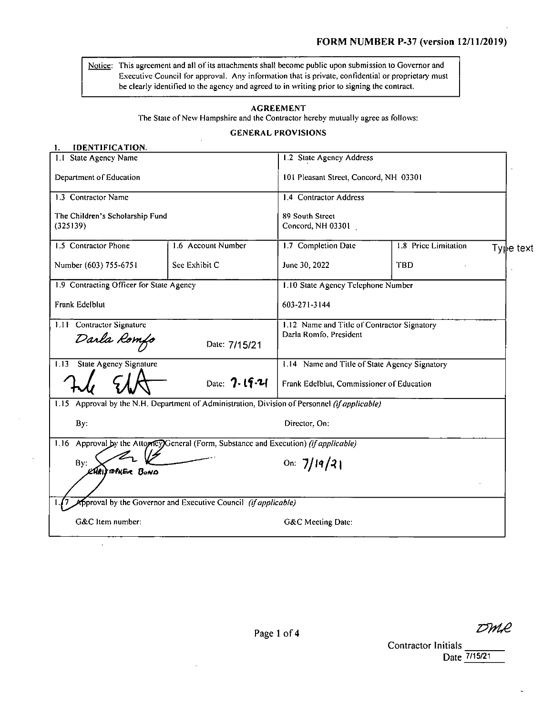## FORM NUMBER P-37 (version 12/11/2019)

Notice: This agreement and all of its attachments shall become public upon submission to Governor and Executive Council for approval. Any information that is private, confidential or proprietary must be clearly identified to the agency and agreed to in writing prior to signing the contract.

### AGREEMENT

The State of New Hampshire and the Contractor hereby mutually agree as follows:

#### GENERAL PROVISIONS

| <b>IDENTIFICATION.</b><br>1.                |                                                                                               |                                               |                                   |  |  |
|---------------------------------------------|-----------------------------------------------------------------------------------------------|-----------------------------------------------|-----------------------------------|--|--|
| 1.1 State Agency Name                       |                                                                                               | 1.2 State Agency Address                      |                                   |  |  |
| Department of Education                     |                                                                                               | 101 Pleasant Street, Concord, NH 03301        |                                   |  |  |
| 1.3 Contractor Name                         |                                                                                               | 1.4 Contractor Address                        |                                   |  |  |
| The Children's Scholarship Fund<br>(325139) |                                                                                               | 89 South Street<br>Concord, NH 03301          |                                   |  |  |
| 1.5 Contractor Phone                        | 1.6 Account Number                                                                            | 1.7 Completion Date                           | 1.8 Price Limitation<br>Type text |  |  |
| Number (603) 755-6751                       | See Exhibit C                                                                                 | June 30, 2022                                 | TBD                               |  |  |
| 1.9 Contracting Officer for State Agency    |                                                                                               | 1.10 State Agency Telephone Number            |                                   |  |  |
| Frank Edelblut                              |                                                                                               | 603-271-3144                                  |                                   |  |  |
| Contractor Signature<br>$1.11 -$            |                                                                                               | 1.12 Name and Title of Contractor Signatory   |                                   |  |  |
| Darla Romfo                                 | Date: 7/15/21                                                                                 | Darla Romfo, President                        |                                   |  |  |
| <b>State Agency Signature</b><br>1.13       |                                                                                               | 1.14 Name and Title of State Agency Signatory |                                   |  |  |
|                                             | Date: 7.19.21                                                                                 | Frank Edelblut, Commissioner of Education     |                                   |  |  |
|                                             | 1.15 Approval by the N.H. Department of Administration, Division of Personnel (if applicable) |                                               |                                   |  |  |
| By:                                         | Director, On:                                                                                 |                                               |                                   |  |  |
| 1.16                                        | Approval by the Attoriey General (Form, Substance and Execution) (if applicable)              |                                               |                                   |  |  |
| On: $7/19/71$<br>By:<br>KARI) TOPAER BOND   |                                                                                               |                                               |                                   |  |  |
|                                             |                                                                                               |                                               |                                   |  |  |
|                                             | <b>Approval by the Governor and Executive Council</b> <i>(if applicable)</i>                  |                                               |                                   |  |  |
| G&C Item number:                            |                                                                                               | G&C Meeting Date:                             |                                   |  |  |

Contractor Initials Date 7/15/21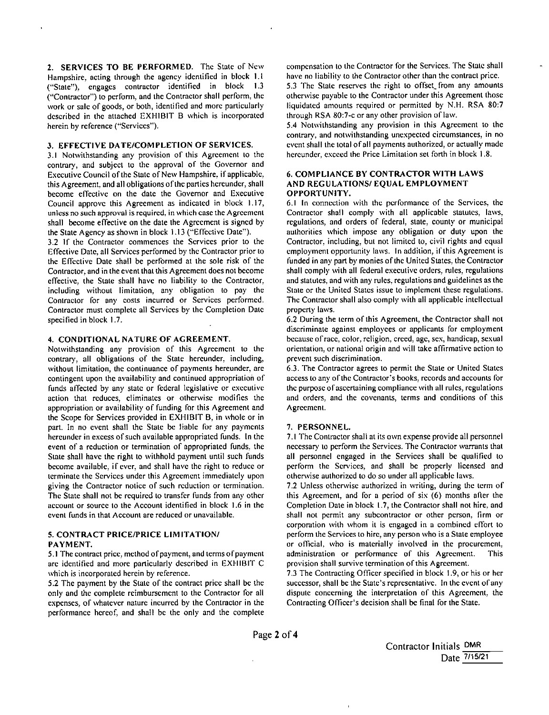2. SERVICES TO BE PERFORMED. The State of New Hampshire, acting through the agency identified in block 1.1 ("State"), engages contractor identified in block 1.3 ("Contractor") to perform, and the Contractor shall perform, the work or sale of goods, or both, identified and more particularly described in the attached EXHIBIT B which is incorporated herein by reference ("Services").

#### 3. EFFECTIVE DATE/COMPLETION OF SERVICES.

3.1 Notwithstanding any provision of this Agreement to the contrary, and subject to the approval of the Governor and E.xecutive Council of the State of New Hampshire, if applicable, this Agreement, and all obligations of the parties hereunder, shall become efTective on the date the Governor and Executive Council approve this Agreement as indicated in block 1.17, unless no such approval is required, in which case the Agreement shall become effective on the date the Agreement is signed by the State Agency as shown in block 1.13 ("Effective Date").

3.2 If the Contractor commences the Services prior to the EfTective Date, all Services performed by the Contractor prior to the EfTective Date shall be performed at the sole risk of the Contractor, and in the event that this Agreement does not become effective, the State shall have no liability to the Contractor, including without limitation, any obligation to pay the Contractor for any costs incurred or Services performed. Contractor must complete all Services by the Completion Date specified in block 1.7.

#### 4. CONDITIONAL NATURE OF AGREEMENT.

Notwithstanding any provision of this Agreement to the contrary, all obligations of the State hereunder, including, without limitation, the continuance of payments hereunder, are contingent upon the availability and continued appropriation of funds alTected by any state or federal legislative or executive action that reduces, eliminates or otherwise modifies the appropriation or availability of funding for this Agreement and the Scope for Services provided in EXHIBIT B, in whole or in part. In no event shall the State be liable for any payments hereunder in excess of such available appropriated funds. In the event of a reduction or termination of appropriated funds, the State shall have the right to withhold payment until such funds become available, if ever, and shall have the right to reduce or terminate the Services under this Agreement immediately upon giving the Contractor notice of such reduction or termination. The State shall not be required to transfer funds from any other account or source to the Account identified in block 1.6 in the event funds in that Account are reduced or unavailable.

#### 5. CONTRACT PRICE/PRICE LIMITATION/ PAYMENT.

5.1 The contract price, method of payment, and terms of payment are identified and more particularly described in EXHIBIT C which is incorporated herein by reference.

5.2 The payment by the State of the contract price shall be the only and the complete reimbursement to the Contractor for all expenses, of whatever nature incurred by the Contractor in the performance hereof, and shall be the only and the complete compensation to the Contractor for the Services. The State shall have no liability to the Contractor other than the contract price. 5.3 The State reserves the right to offset from any amounts otherwise payable to the Contractor under this Agreement those liquidated amounts required or permitted by N.H. RSA 80:7 through RSA 80:7-c or any other provision of law.

5.4 Notwithstanding any provision in this Agreement to the contrary, and notwithstanding unexpected circumstances, in no event shall the total of all payments authorized, or actually made hereunder, exceed the Price Limitation set forth in block 1.8.

#### 6. COMPLIANCE BY CONTRACTOR WITH LAWS AND REGULATIONS/ EQUAL EMPLOYMENT OPPORTUNITY.

6.1 In connection with the performance of the Services, the Contractor shall comply with all applicable statutes, laws, regulations, and orders of federal, state, county or municipal authorities which impose any obligation or duty upon the Contractor, including, but not limited to, civil rights and equal employment opportunity laws. In addition, if this Agreement is funded in any part by monies of the United States, the Contractor shall comply with all federal executive orders, rules, regulations and statutes, and with any rules, regulations and guidelines as the Slate or the United States issue to implement these regulations. The Contractor shall also comply with all applicable intellectual property laws.

6.2 During the term of this Agreement, the Contractor shall not discriminate against employees or applicants for employment because of race, color, religion, creed, age, sex, handicap, sexual orientation, or national origin and will take affirmative action to prevent such discrimination.

6.3. The Contractor agrees to permit the State or United States access to any of the Contractor's books, records and accounts for the purpose of ascertaining compliance with all rules, regulations and orders, and the covenants, terms and conditions of this Agreement.

#### 7. PERSONNEL.

7.1 The Contractor shall at its own expense provide all personnel necessary to perform the Services. The Contractor warrants that all personnel engaged in the Services shall be qualified to perform the Services, and shall be properly licensed and otherwise authorized to do so under all applicable laws.

7.2 Unless otherwise authorized in writing, during the term of this Agreement, and for a period of six (6) months after the Completion Date in block 1.7, the Contractor shall not hire, and shall not permit any subcontractor or other person, firm or corporation with whom it is engaged in a combined effort to perform the Services to hire, any person who is a State employee or official, who is materially involved in the procurement, administration or performance of this Agreement. This provision shall survive termination of this Agreement.

7.3 The Contracting Officer specified in block 1.9, or his or her successor, shall be the State's representative. In the event of any dispute concerning the interpretation of this Agreement, the Contracting Officer's decision shall be final for the State.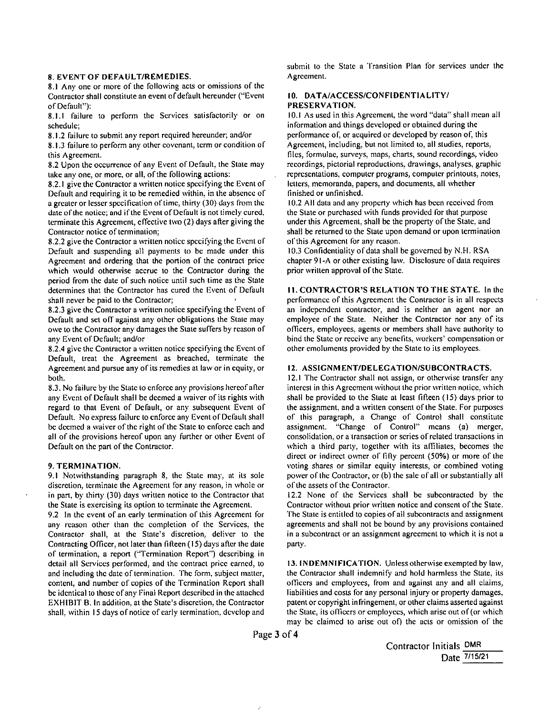#### 8. EVENT OF DEFAULT/REMEDIES.

8.1 Any one or more of ihe following acls or omissions of the Contractor shall constitute an event of default hereunder ("Event of Default"):

8.1.1 failure to perform the Services satisfactorily or on schedule;

8.1.2 failure to submit any report required hereunder; and/or

8.1.3 failure to perform any other covenant, term or condition of this Agreement.

8.2 Upon the occurrence of any Event of Default, the Slate may take any one, or more, or all, of the following actions:

8.2.1 give the Contractor a written notice specifying the Event of Default and requiring it to be remedied within, in the absence of a greater or lesser specification of time, thirty (30) days from the date of the notice; and if the Event of Default is not timely cured, terminate this Agreement, effective two (2) days after giving the Contractor notice of termination;

8.2.2 give the Contractor a written notice specifying the Event of Default and suspending all payments to be made under this Agreement and ordering that the portion of the contract price which would otherwise accrue to the Contractor during the period from the date of such notice until such time as the State determines that the Contractor has cured the Event of Default shall never be paid to the Contractor;

8.2.3 give the Contractor a written notice specifying the Event of Default and set off against any other obligations the State may owe to the Contractor any damages the State suffers by reason of any Event of Default; and/or

8.2.4 give the Contractor a written notice specifying the Event of Default, treat the Agreement as breached, terminate the Agreement and pursue any of its remedies at law or in equity, or both.

8.3. No failure by the State to enforce any provisions hereof after any Event of Default shall be deemed a waiver of its rights with regard to that Event of Default, or any subsequent Event of Default. No express failure to enforce any Event of Default shall be deemed a waiver of the right of the State to enforce each and all of the provisions hereof upon any further or other Event of Default on the part of the Contractor.

#### 9. TERMINATION.

9.1 Notwithstanding paragraph 8, the State may, at its sole discretion, terminate the Agreement for any reason, in whole or in part, by thirty (30) days written notice to the Contractor that the State is exercising its option to terminate the Agreement.

9.2 In the event of an early termination of this Agreement for any reason other than the completion of the Services, the Contractor shall, at the State's discretion, deliver to the Contracting Officer, not later than fifteen (15) days after the date of termination, a report ("Termination Report") describing in detail all Services performed, and the contract price earned, to and including the date of termination. The form, subject matter, content, and number of copies of the Termination Report shall be identical to those of any Final Report described in the attached EXHIBIT B. In addition, at the State's discretion, the Contractor shall, within 15 days of notice of early termination, develop and submit to the Slate a Transition Plan for services under the Agreement.

#### 10. DATA/ACCESS/CONFIDENTIALITY/ PRESERVATION.

10.1 As used in this Agreement, the word "data" shall mean all information and things developed or obtained during the performance of, or acquired or developed by reason of, this Agreement, including, but not limited to, all studies, reports, files, formulae, surveys, maps, charts, sound recordings, video recordings, pictorial reproductions, drawings, analyses, graphic representations, computer programs, computer printouts, notes, letters, memoranda, papers, and documents, all whether finished or unfinished.

10.2 All data and any property which has been received from the State or purchased with funds provided for that purpose under this Agreement, shall be the properly of the State, and shall be returned to the Stale upon demand or upon termination of this Agreement for any reason.

10.3 Confidentiality of data shall be governed by N.H. RSA chapter 91-A or other existing law. Disclosure of data requires prior written approval of the State.

#### 11. CONTRACTOR'S RELATION TO THE STATE. In the performance of this Agreement the Contractor is in all respects an independent contractor, and is neither an agent nor an employee of the State. Neither the Contractor nor any of its officers, employees, agents or members shall have authority to bind the State or receive any benefits, workers' compensation or other emoluments provided by the State to its employees.

#### 12. ASSICNMENT/DELECATION/SUBCONTRACTS.

12.1 The Contractor shall not assign, or otherwise transfer any interest in this Agreement without the prior written notice, which shall be provided to the State at least fifteen (15) days prior to the assignment, and a written consent of the State. For purposes of this paragraph, a Change of Control shall constitute assignment. "Change of Control" means (a) merger, consolidation, or a transaction or scries of related transactions in which a third party, together with its affiliates, becomes the direct or indirect owner of fifty percent (50%) or more of the voting shares or similar equity interests, or combined voting power of the Contractor, or (b) the sale of all or substantially all of the assets of the Contractor.

12.2 None of the Services shall be subcontracted by the Contractor without prior written notice and consent of the State. The State is entitled to copies of alt subcontracts and assignment agreements and shall not be bound by any provisions contained in a subcontract or an assignment agreement to which it is not a party.

13. INDEMNIFICATION. Unless otherwise exempted by law, the Contractor shall indemnify and hold harmless the State, its officers and employees, from and against any and all claims, liabilities and costs for any personal injury or property damages, patent or copyright infringement, or other claims asserted against the State, its officers or employees, which arise out of (or which may be claimed to arise out of) the acts or omission of the

Page 3 of 4

ż

Contractor Initials Date 7/15/21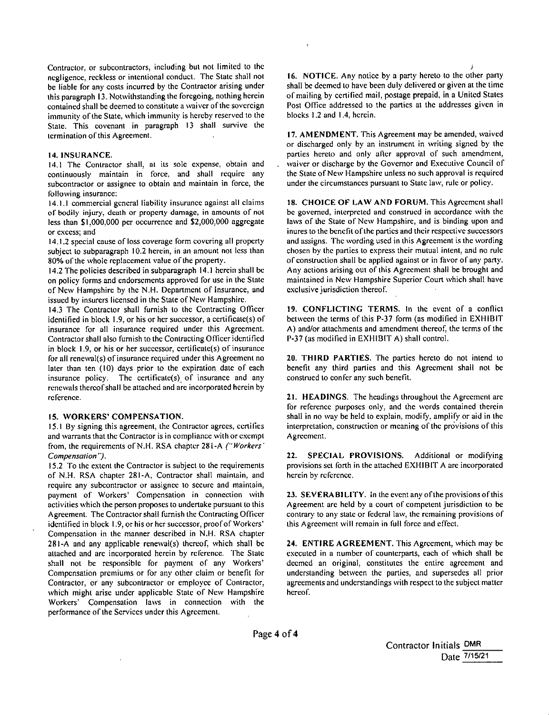Contractor, or subcontractors, including but not limited to the negligence, reckless or intentional conduct. The State shall not be liable for any costs incurred by the Contractor arising under this paragraph 13. Notwithstanding the foregoing, nothing herein contained shall be deemed to constitute a waiver of the sovereign immunity of the State, which immunity is hereby reserved to the State. This covenant in paragraph 13 shall survive the termination of this Agreement.

#### 14. INSURANCE.

14.1 The Contractor shall, at its sole expense, obtain and continuously maintain in force, and shall require any subcontractor or assignee to obtain and maintain in force, the following insurance;

14.1.1 commercial general liability insurance against all claims of bodily injury, death or properly damage, in amounts of not less than \$1,000,000 per occurrence and \$2,000,000 aggregate or excess; and

14.1.2 special cause of loss coverage form covering all property subject to subparagraph 10.2 herein, in an amount not less than 80% of the whole replacement value of the property.

14.2 The policies described in subparagraph 14.1 herein shall be on policy forms and endorsements approved for use in the State of New Hampshire by the N.H. Department of Insurance, and issued by insurers licensed in the State of New Hampshire.

14.3 The Contractor shall furnish to the Contracting Officer identified in block 1.9, or his or her successor, a certifieate(s) of insurance for all insurance required under this Agreement. Contractor shall also furnish to the Contracting Officer identified in block 1.9, or his or her successor, ccrtificate(s) of insurance for all renewal(s) of insurance required under this Agreement no later than ten (10) days prior to the expiration date of each insurance policy. The certificate(s) of insurance and any renewals thereofshall be attached and are incorporated herein by reference.

#### 15. WORKERS'COMPENSATION.

15.1 By signing this agreement, the Contractor agrees, certifies and warrants that the Contractor is in compliance with or exempt from, the requirements of N.H. RSA chapter 281-A ("Workers' Compensation").

15.2 To the extent the Contractor is subject to the requirements of N.H. RSA chapter 281-A, Contractor shall maintain, and require any subcontractor or assignee to secure and maintain, payment of Workers' Compensation in connection with activities which the person proposes to undertake pursuant to this Agreement. The Contractor shall furnish the Contracting Officer identified in block 1.9, or his or her successor, proof of Workers' Compensation in the manner described in N.H. RSA chapter 281-A and any applicable renewal(s) thereof, which shall be attached and are incorporated herein by reference. The Slate shall not be responsible for payment of any Workers' Compensation premiums or for any other claim or benefit for Contractor, or any subcontractor or employee of Contractor, which might arise under applicable State of New Hampshire Workers' Compensation laws in connection with the performance of the Services under this Agreement.

16. NOTICE. Any notice by a party hereto to the other party shall be deemed to have been duly delivered or given at the time of mailing by certified mail, postage prepaid, in a United States Post Office addressed to the parties at the addresses given in blocks 1.2 and 1.4, herein.

17. AMENDMENT. This Agreement may be amended, waived or discharged only by an instrument in writing signed by the parties hereto and only after approval of such amendment, waiver or discharge by the Governor and Executive Council of the Slate of New Hampshire unless no such approval is required under the circumstances pursuant to State law, rule or policy.

18. CHOICE OF LAW AND FORUM. This Agreement shall be governed, interpreted and construed in accordance with the laws of the State of New Hampshire, and is binding upon and inures to the benefit of the parties and their respective successors and assigns. The wording used in this Agreement is the wording chosen by the parties to express their mutual intent, and no rule of construction shall be applied against or in favor of any party. Any actions arising out of this Agreement shall be brought and maintained in New Hampshire Superior Court which shall have exclusive jurisdiction thereof.

19. CONFLICTING TERMS. In the event of a conflict between the terms of this P-37 form (as modified in EXHIBIT A) and/or attachments and amendment thereof, the terms of the P-37 (as modified in EXHIBIT A) shall control.

20. THIRD PARTIES. The parties hereto do not intend to benefit any third parties and this Agreement shall not be construed to confer any such benefit.

21. HEADINGS. The headings throughout the Agreement are for referenee purposes only, and the words contained therein shall in no way be held to explain, modify, amplify or aid in the interpretation, construction or meaning of the provisions of this Agreement.

22. SPECIAL PROVISIONS. Additional or modifying provisions set forth in the attached EXHIBIT A are incorporated herein by reference.

23. SEVERABILITY. In the event any of the provisions of this Agreement are held by a court of competent jurisdiction to be contrary to any state or federal law, the remaining provisions of this Agreement will remain in full force and effect.

24. ENTIRE AGREEMENT. This Agreement, which may be executed in a number of counterparts, each of which shall be deemed an original, constitutes the entire agreement and understanding between the parties, and supersedes all prior agreements and understandings with respect to the subject matter hereof.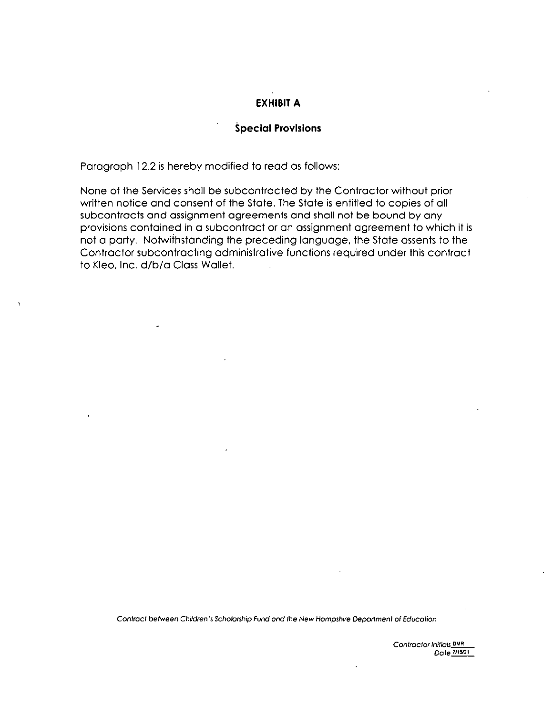## EXHIBIT A

## Special Provisions

Paragraph 12.2 is hereby modified to read as follows:

None of the Services shall be subcontracted by the Contractor without prior written notice and consent of the State. The State is entitled to copies of all subcontracts and assignment agreements and shall not be bound by any provisions contained in a subcontract or on assignment agreement to which it is not a party. Notwithstanding the preceding language, the State assents to the Contractor subcontracting administrative functions required under this contract to Kleo, Inc. d/b/o Class Wallet.

Contract between Children's Scholarship Fund and the New Hampshire Department of Education

Contractor Initials DMR Dote 7/15/21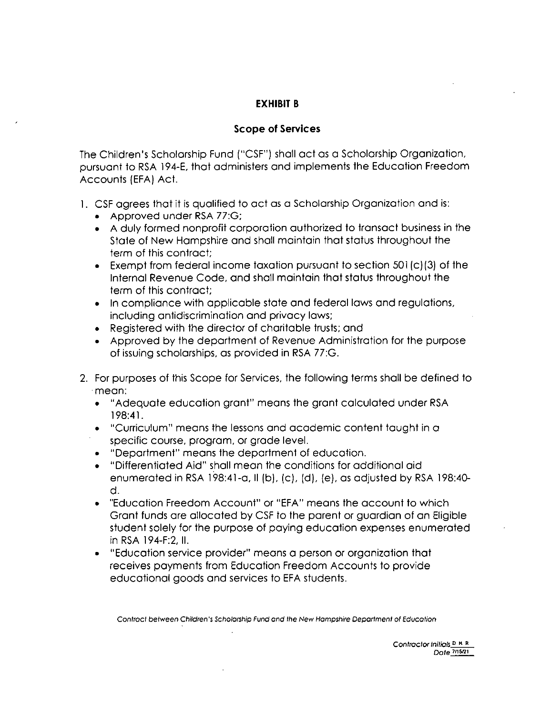## EXHIBIT B

## Scope of Services

The Children's Scholarship Fund ("CSF") shall act as a Scholarship Organization, pursuant to RSA 194-E, that administers and implements the Education Freedom Accounts (EFA) Act.

- 1. CSF agrees that it is qualified to act as a Scholarship Organization and is:
	- Approved under RSA 77:G;
	- A duly formed nonprofit corporation authorized to transact business in the State of New Hampshire and shall maintain that status throughout the term of this contract;
	- Exempt from federal income taxation pursuant to section 50] (c)(3) of the Internal Revenue Code, and shall maintain that status throughout the term of this contract;
	- In compliance with applicable state and federal laws and regulations, including antidiscrimination and privacy laws;
	- Registered with the director of charitable trusts; and
	- Approved by the department of Revenue Administration for the purpose of issuing scholarships, as provided in RSA 77:G.
- 2. For purposes of this Scope for Services, the following terms shall be defined to mean:
	- "Adequate education grant" means the grant calculated under RSA 198:41.
	- "Curriculum" means the lessons and academic content taught in a specific course, program, or grade level.
	- "Department" means the department of education.
	- "Differentiated Aid" shall mean the conditions for additional aid enumerated in RSA 198:41-a, II (b), (c), (d), (e), as adjusted by RSA 198:40 d.
	- "Education Freedom Account" or "EFA" means the account to which Grant funds are allocated by CSF to the parent or guardian of an Eligible student solely for the purpose of paying education expenses enumerated in RSA 194-F:2, II.
	- "Education service provider" means a person or organization that receives payments from Education Freedom Accounts to provide educational goods and services to EFA students.

Contract between Children's Scholarship Fund and the New Hampshire Department of Education

Contractor Initials D.H.R. Date 7/15/21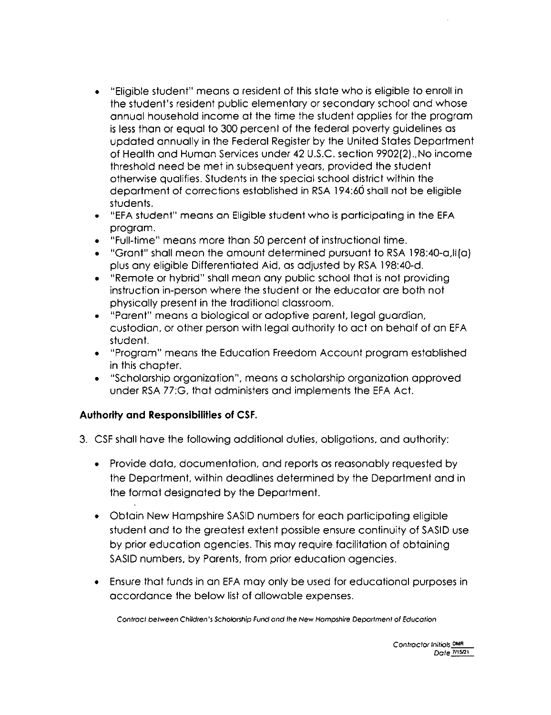- "Eligible student" means o resident of this state who is eligible to enroll in the student's resident public elementary or secondary school and whose annual household income at the time the student applies for the program is less than or equal to 300 percent of the federal poverty guidelines as updated annually in the Federal Register by the United States Department of Health and Human Services under 42 U.S.C. section 9902(2).,No income threshold need be met in subsequent years, provided the student otherwise qualifies. Students in the special school district within the department of corrections established in RSA 194:60 shall not be eligible students.
- "EPA student" means an Eligible student who is participating in the EPA program.
- "Full-time" means more than 50 percent of instructional time.
- "Grant" shall mean the amount determined pursuant to RSA 198:40-a,ll(a) plus any eligible Differentiated Aid, as adjusted by RSA 198:40-d.
- "Remote or hybrid" shall mean any public school that is not providing instruction in-person where the student or the educator are both not physically present in the traditionol classroom.
- "Parent" means a biological or adoptive parent, legal guardian, custodian, or other person with legal authority to act on behalf of an EPA student.
- "Program" means the Education Freedom Account program established in this chapter.
- "Scholarship organization", means a scholarship organization approved under RSA 77:G, that administers and implements the EPA Act.

## Authority and Responsibilities of CSF.

- 3. CSF shall have the following additional duties, obligations, and authority:
	- Provide data, documentation, and reports as reasonably requested by the Department, within deadlines determined by the Department and in the format designated by the Department.
	- Obtain New Hampshire SASID numbers for each participating eligible student and to the greatest extent possible ensure continuity of SASID use by prior education agencies. This may require facilitation of obtaining SASID numbers, by Parents, from prior education agencies.
	- Ensure that funds in an EPA may only be used for educational purposes in accordance the below list of allowable expenses.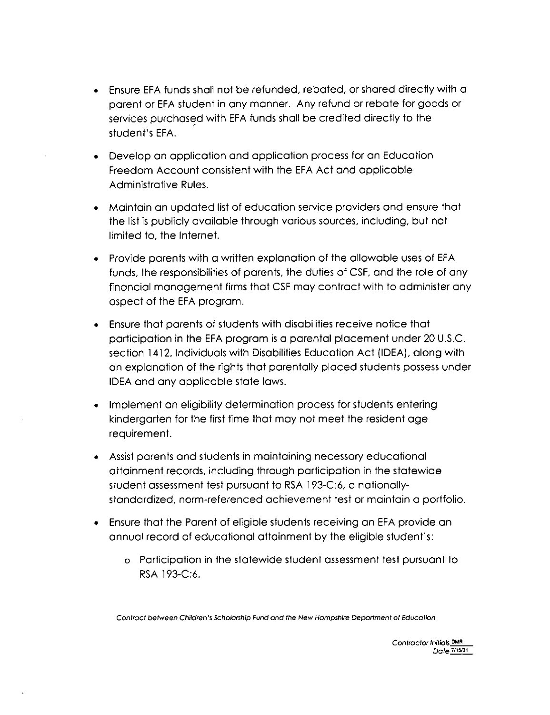- Ensure EFA funds shall not be refunded, rebated, or shared directly with a parent or EFA student in any manner. Any refund or rebate for goods or services purchased with EFA funds shall be credited directly to the student's EFA.
- Develop an application and application process for on Education Freedom Account consistent with the EFA Act and applicable Administrative Rules.
- Maintain an updated list of education service providers and ensure that the list is publicly available through various sources, including, but not limited to. the Internet.
- Provide parents with a written explanation of the allowable uses of EFA funds, the responsibilities of parents, the duties of CSF. and the role of any financial management firms that CSF may contract with to administer any aspect of the EFA program.
- Ensure that parents of students with disabilities receive notice that participation in the EFA program is a parental placement under 20 U.S.C. section 1412. Individuals with Disabilities Education Act (IDEA), along with an explanation of the rights that parentally placed students possess under IDEA and any applicable state laws.
- Implement an eligibility determination process for students entering kindergarten for the first time that may not meet the resident age requirement.
- Assist parents and students in maintaining necessary educational attainment records, including through participation in the statewide student assessment test pursuant to RSA 193-C:6, a nationallystandardized. norm-referenced ochievement test or maintain a portfolio.
- Ensure that the Parent of eligible students receiving on EFA provide on annual record of educational attoinment by the eligible student's:
	- o Participation in the statewide student assessment test pursuant to RSA 193-0:6,

Contract between Chifdren's Schotorshtp Fund and ttie New Hampshire Department of Education

Contractor Initials\_DMR Date 7/15/21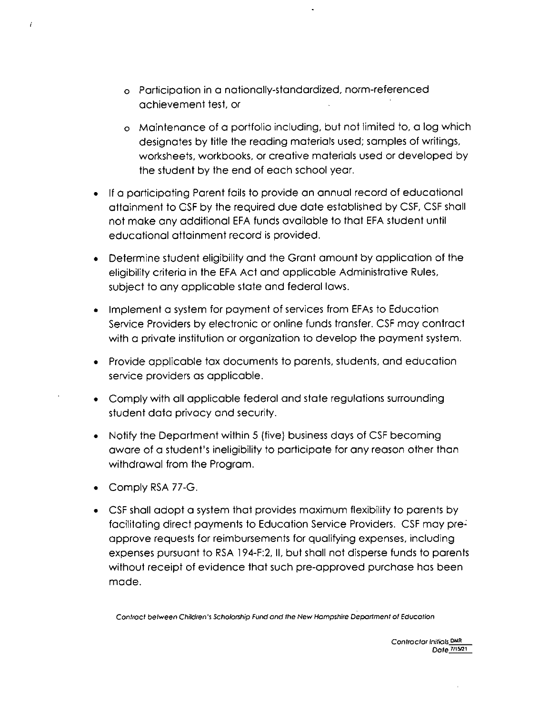- o Participation in o nationally-standardized, norm-referenced achievement test, or
- o Maintenance of a portfolio including, but not limited to, a log which designates by title the reading materials used; samples of writings, worksheets, workbooks, or creative materials used or developed by the student by the end of each school year.
- If a participating Parent fails to provide on annual record of educational attainment to GSF by the required due dote established by CSF, CSF shall not make any additional EFA funds available to that EFA student until educational attainment record is provided.
- Determine student eligibility and the Grant amount by application of the  $\bullet$ eligibility criteria in the EFA Act and applicable Administrative Rules, subject to any applicable state and federal laws.
- Implement a system for payment of services from EFAs to Education Service Providers by electronic or online funds transfer. CSF may contract with a private institution or organization to develop the payment system.
- Provide applicable tax documents to parents, students, and education service providers as applicable.
- Comply with all applicable federal and state regulations surrounding student data privacy and security.
- Notify the Department within 5 (five) business days of CSF becoming aware of a student's ineligibility to participate for any reason other than withdrawal from the Program.
- Comply RSA 77-G.

 $\overline{I}$ 

CSF shall adopt a system that provides maximum flexibility to parents by facilitating direct payments to Education Service Providers. CSF may preapprove requests for reimbursements for qualifying expenses, including expenses pursuant to RSA 194-F:2, II, but shall not disperse funds to parents without receipt of evidence that such pre-approved purchase has been made.

Contract between Cliildren's Scholarship Fund and the New Hampshire Department of Education

Contractor Initials\_DMR Date 7/15/21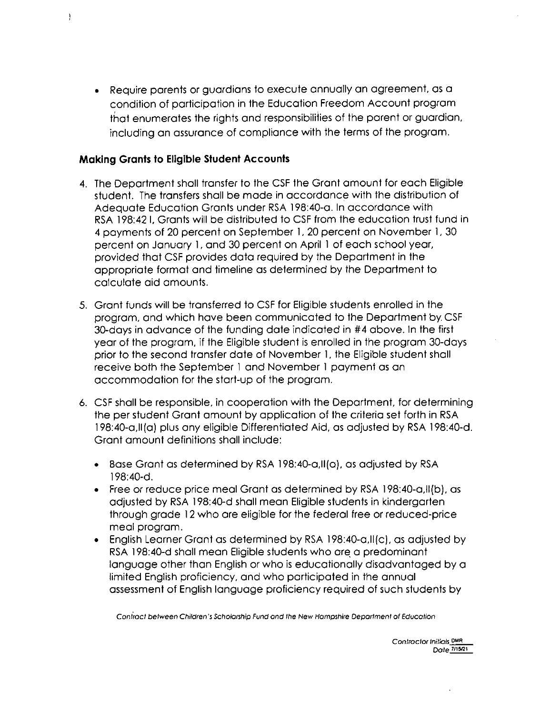• Require parents or guardians to execute annually an agreement, as a condition of participation in the Education Freedom Account program that enumerates the rights and responsibilities of the parent or guardian, including an assurance of compliance with the terms of the program.

## Making Grants to Eligible Student Accounts

j.

- 4. The Department shall transfer to the CSF the Grant amount for each Eligible student. The transfers shall be made in accordance with the distribution of Adequate Education Grants under RSA 198:40-a. In accordance with RSA 198:42 I, Grants will be distributed to CSF from the education trust fund in 4 payments of 20 percent on September 1, 20 percent on November 1, 30 percent on January 1, and 30 percent on April 1 of each school year, provided that CSF provides data required by the Department in the appropriate format and timeline as determined by the Department to calculate aid amounts.
- 5. Grant funds will be transferred to CSF for Eligible students enrolled in the program, and which have been communicated to the Department by. CSF 30-days in advance of the funding date indicated in #4 above. In the first year of the program, if the Eligible student is enrolled in the program 30-days prior to the second transfer date of November 1, the Eligible student shall receive both the September 1 and November 1 payment as an accommodation for the start-up of the program.
- 6. CSF shall be responsible, in cooperation with the Department, for determining the per student Grant amount by application of the criteria set forth in RSA 198:40-0,II(a) plus any eligible Differentiated Aid, as adjusted by RSA 198:40-d. Grant amount definitions shall include:
	- Base Grant as determined by RSA 198:40-a,11(a), as adjusted by RSA 198:40-d.
	- Free or reduce price meal Grant as determined by RSA 198:40-a,ll(b], as adjusted by RSA 198:40-d shall mean Eligible students in kindergarten through grade 12 who are eligible for the federal free or reduced-price meal program.
	- English Learner Grant as determined by RSA 198:40-a,11(c), as adjusted by RSA 198:40-d shall mean Eligible students who ore a predominant language other than English or who is educationally disadvantaged by a limited English proficiency, and who participated in the annual assessment of English language proficiency required of such students by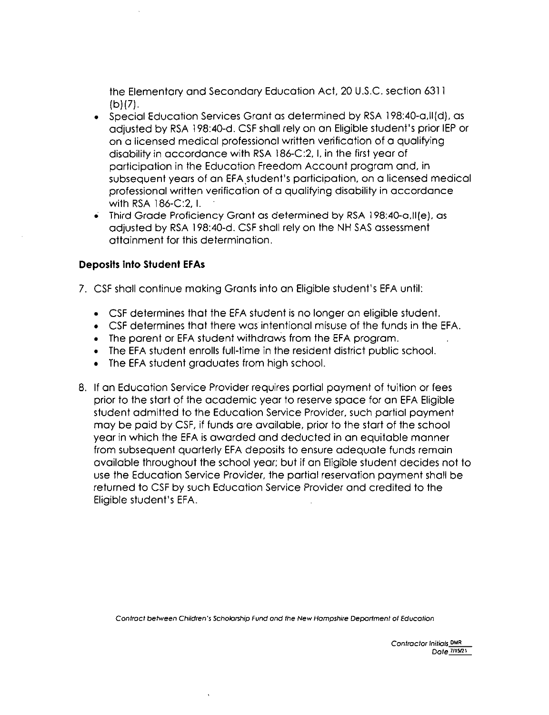the Elementary and Secondary Education Act, 20 U.S.C. section 6311 (b)(7].

- Special Education Services Grant as determined by RSA 198:40-a.11(d), as adjusted by RSA 198:40-d. CSF shall rely on an Eligible student's prior lEP or on a licensed medical professional written verification of a qualifying disability in accordance with RSA 186-C:2, 1, in the first year of participation in the Education Freedom Account program and, in subsequent years of on EFA student's participation, on a licensed medical professional written verification of a qualifying disabilify in accordance with RSA 186-C:2, 1.
- Third Grade Proficiency Grant as determined by RSA 198:40-a,11(e), as adjusted by RSA 198:40-d. CSF shall rely on the NH SAS assessment attainment for this determination.

## Deposits Into Student EFAs

- 7. CSF shall continue making Grants into an Eligible student's EFA until;
	- CSF determines that the EFA student is no longer on eligible student.
	- CSF determines that there was intentional misuse of the funds in the EFA.
	- The porent or EFA student withdraws from the EFA program.
	- The EFA student enrolls full-time in the resident district public school.
	- The EFA student graduates from high school.
- 8. If an Education Service Provider requires partial payment of tuition or fees prior to the start of the academic year to reserve space for an EFA Eligible student admitted to the Education Service Provider, such partial payment may be paid by CSF, if funds are available, prior to the start of fhe school year in which the EFA is awarded and deducted in an equitable manner from subsequent quarterly EFA deposits to ensure adequate funds remain available fhroughouf the school year: but if on Eligible student decides not to use the Education Service Provider, the partial reservation payment shall be returned to CSF by such Education Service Provider and credited to the Eligible student's EFA.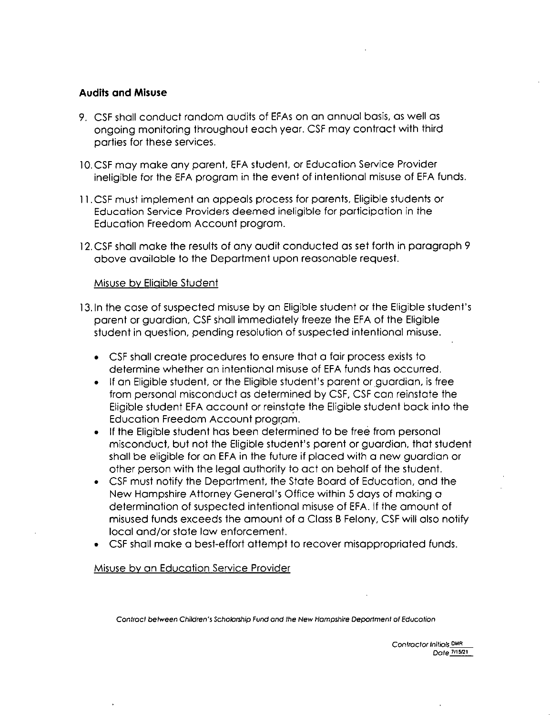## Audits and Misuse

- 9. CSF shall conduct random audits of EFAs on an annual basis, as well as ongoing monitoring throughout eoch year. CSF may contract with third parties for these services.
- 10. CSF may make any parent, EFA student, or Education Service Provider ineligible for the EFA program in the event of intentional misuse of EFA funds.
- 11. CSF must implement an appeals process for parents. Eligible students or Educotion Service Providers deemed ineligible for participation in the Education Freedom Account program.
- 12. CSF shall make the results of any audit conducted as set forth in paragraph 9 above available to the Department upon reasonable request.

## Misuse bv Eligible Student

- 13. In the case of suspected misuse by an Eligible student or the Eligible student's parent or guardian, CSF shall immediately freeze the EFA of the Eligible student in question, pending resolution of suspected intentional misuse.
	- CSF shall create procedures to ensure that a fair process exists to determine whether on intentional misuse of EFA funds has occurred.
	- If on Eligible student, or the Eligible student's parent or guardian, is free from personal misconduct as determined by CSF, CSF can reinstate the Eligible student EFA account or reinstate the Eligible student back into the Education Freedom Account program.
	- If the Eligible student has been determined to be free from personal misconduct, but not the Eligible student's parent or guardian, that student shall be eligible for on EFA in the future if placed with a new guardian or other person with the legal authority to act on behalf of the student.
	- CSF must notify the Department, the State Board of Education, and the New Hampshire Attorney General's Office within 5 days of making a determination of suspected intentional misuse of EFA. If the amount of misused funds exceeds the amount of a Class B Felony, CSF will also notify local and/or state law enforcement.
	- CSF shall make a best-effort attempt to recover misappropriated funds.

Misuse bv an Education Service Provider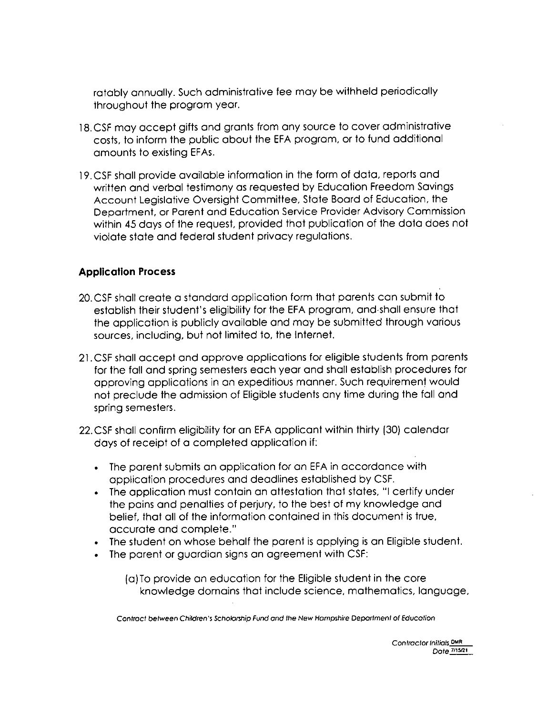ratably annually. Such administrative fee may be withheld periodically throughout the progrom year.

- 18.CSF may accept gifts and grants from any source to cover administrative costs, to inform the public obout the EFA progrom, or to fund odditiono! omounts to existing EFAs.
- 9.CSF shall provide available information in the form of doto, reports and written and verbal testimony as requested by Education Freedom Savings Account Legislative Oversight Committee, State Board of Education, the Department, or Porent ond Education Service Provider Advisory Commission within 45 doys of the request, provided that publication of the data does not violate state and federal student privacy regulations.

## Application Process

- 20. CSF shall create a standard application form that parents can submit to establish their student's eligibility for the EFA program, and shall ensure that the application is publicly available and may be submitted through various sources, including, but not limited to, the internet.
- 21. CSF shall accept and approve applications for eligible students from parents for the fall and spring semesters each year and shall establish procedures for approving applications in on expeditious manner. Such requirement would not preclude the admission of Eligible students any time during the fall and spring semesters.
- 22. CSF shall confirm eligibilify for an EFA applicant within thirty (30) calendar days of receipt of a complefed application if;
	- The parent submits an application for on EFA in accordance with application procedures and deadlines established by CSF.
	- The application must contain an attestation that states, "I certify under the pains and penalties of perjury, to the best of my knowledge and belief, that all of the information contained in this document is true, accurate and complete."
	- The student on whose behalf the parent is applying is an Eligible student.
	- The parent or guardian signs an agreement with CSF:

(a)To provide on education for the Eligible student in the core knowledge domains that include science, mathematics, language,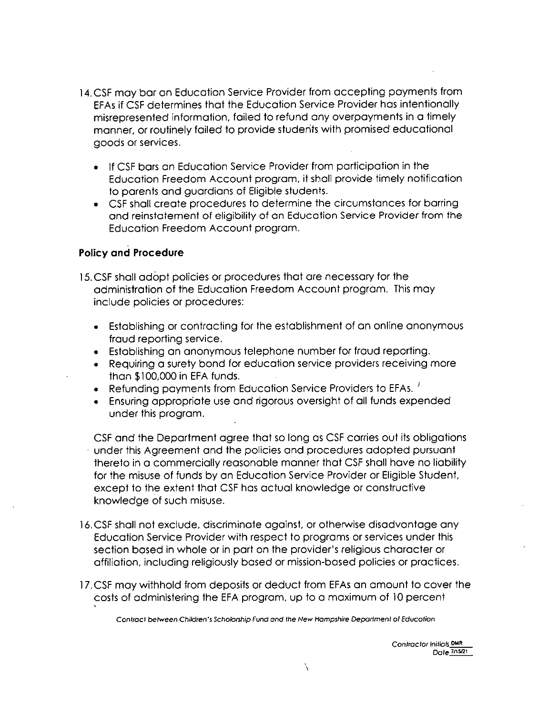- 14.CSF may bar an Education Service Provider from accepting payments from EFAs if CSF determines that the Education Service Provider has intentionally misrepresented information, failed to refund any overpayments in a timely manner, or routinely failed to provide students with promised educational goods or services.
	- If CSF bars an Education Service Provider from participation in the Education Freedom Account program, it shall provide timely notification to parents and guardians of Eligible students.
	- CSF shall create procedures to determine the circumstances for barring and reinstatement of eligibility of on Education Service Provider from the Education Freedom Account program.

## Policy and Procedure

- 15. CSF shall adopt policies or procedures that are necessary for the administration of the Education Freedom Account program. This may include policies or procedures:
	- Establishing or contracting for the establishment of an online anonymous fraud reporting service.
	- Establishing an anonymous telephone number for fraud reporting.
	- Requiring a surety bond for education service providers receiving more than \$100,000 in EFA funds.
	- Refunding payments from Education Service Providers to EFAs.  $^{\prime}$
	- Ensuring appropriate use and rigorous oversight of all funds expended under this program.
	- CSF and the Department agree that so long as CSF carries out its obligations under this Agreement and the policies and procedures adopted pursuant thereto in a commercially reasonable manner that CSF shall have no liability for the misuse of funds by an Education Service Provider or Eligible Student, except to the extent that CSF has actual knowledge or constructive knowledge of such misuse.
- 16. CSF shall not exclude, discriminate against, or otherwise disadvantage any Education Service Provider with respect to programs or services under this section based in whole or in part on the provider's religious character or affiliation, including religiously based or mission-based policies or practices.
- 17. CSF may withhold from deposits or deduct from EFAs an amount to cover the costs of administering the EFA program, up to a maximum of 10 percent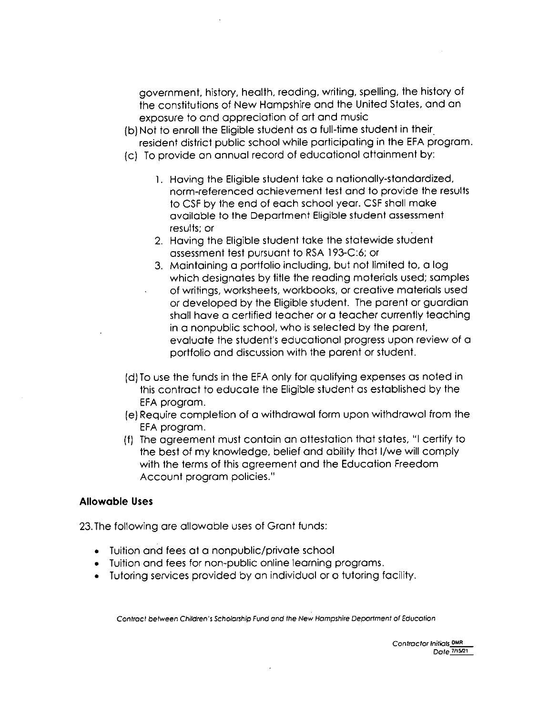government, history, health, reading, writing, spelling, the history of the constitutions of New Hampshire and the United States, and an exposure to and appreciation of art and music

- (b) Not to enroll the Eligible student as a full-time student in their resident district public school while participating in the EFA program.
- (c) To provide on annual record of educational attainment by:
	- 1. Having the Eligible student take o nationally-standardized, norm-referenced achievement test and to provide the results to CSF by the end of each school year. CSF shall make available to the Department Eligible student assessment results; or
	- 2. Having the Eligible student take the statewide student assessment test pursuant to RSA 193-C:6; or
	- 3. Maintaining a portfolio including, but not limited to, a log which designates by title the reading materials used; samples of writings, worksheets, workbooks, or creative materials used or developed by the Eligible student. The parent or guardian shall have a certified teacher or a teacher currently teaching in a nonpublic school, who is selected by the parent, evaluate the student's educational progress upon review of a portfolio and discussion with the parent or student.
- (d) To use the funds in the EFA only for qualifying expenses as noted in this contract to educate the Eligible student as established by the EFA program.
- (e) Require completion of a withdrawal form upon withdrawal from the EFA program.
- (f) The agreement must contain an attestation that states, "I certify to the best of my knowledge, belief and ability that I/we will comply with the terms of this agreement and the Education Freedom Account program policies."

## Allowable Uses

23.The following ore allowable uses of Grant funds:

- Tuition and fees at a nonpublic/private school
- Tuition and fees for non-public online learning programs.
- Tutoring services provided by on individual or a tutoring facility.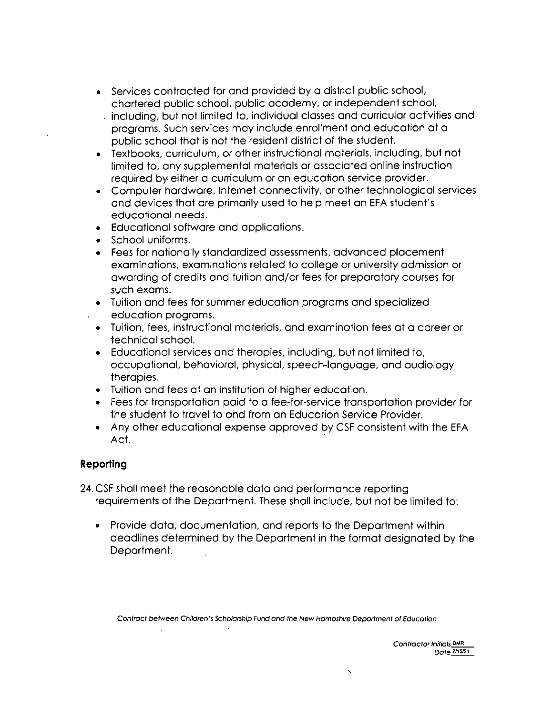- Services contracted for end provided by o district public school, chartered public school, public academy, or independent school, . including, but not limited to, individual classes and curricular activities and programs. Such services may include enrollment and education at a public school that is not the resident district of the student.
- Textbooks, curriculum, or other instructional materials, including, but not limited to, any supplemental materials or associated online instruction required by either a curriculum or on education service provider.
- Computer hardware, Internet connectivity, or other technological services and devices that are primarily used to help meet on EFA student's educational needs.
- Educational software and applications.
- School uniforms.
- Fees for nationally standardized assessments, advanced placement examinations, examinations related to college or university admission or awarding of credits and tuition and/or fees for preparatory courses for such exams.
- Tuition and fees for summer education programs and specialized education programs.
- Tuition, fees, instructional materials, and examination fees at a career or technical school.
- Educational services and therapies, including, but not limited to, occupational, behavioral, physical, speech-language, and audiology therapies.
- Tuition and fees at an institution of higher education.
- Fees for transportation paid to a fee-for-service transportation provider for the student to travel to and from on Education Service Provider.
- Any other educational expense approved by CSF consistent with the EFA Act.

## Reporting

- 24. CSF shall meet the reasonable data and performance reporting requirements of the Department. These shall include, but not be limited to:
	- Provide data, documentation, and reports to the Department within deadlines determined by the Department in the format designated by the Department.

Contract between Children's Scholarship Fund and the New Hampshire Department of Education

Contractor Initials DMR Dote 7/15/21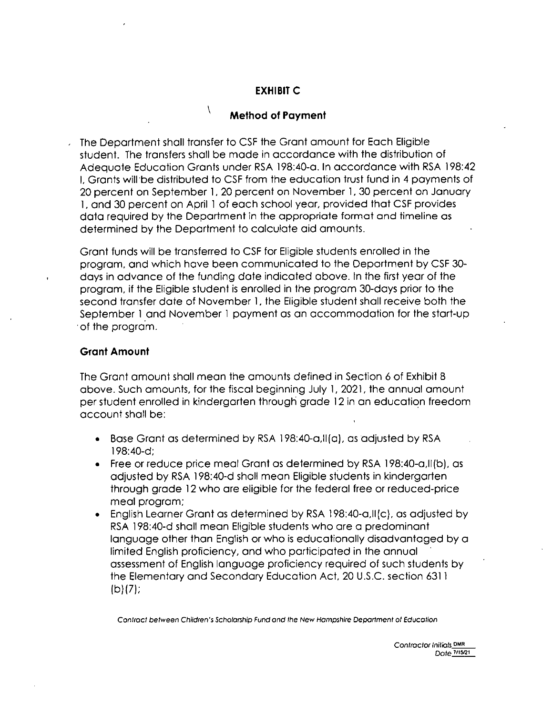## EXHIBIT C

# $\sqrt{M}$  Method of Payment

The Department shall transfer to CSF the Grant amount for Each Eligible student. The transfers shall be mode in accordance with the distribution of Adequate Education Grants under RSA 198:40-a. In accordance with RSA 198:42 1. Grants will be distributed to CSF from the education trust fund in 4 payments of 20 percent on September 1. 20 percent on November 1. 30 percent on January 1, and 30 percent on April 1 of each school year, provided that CSF provides data required by the Department in the appropriate format and timeline as determined by the Department to calculate aid amounts.

Grant funds will be transferred to CSF for Eligible students enrolled in the program, and which have been communicated to the Department by CSF 30 days in advance of the funding date indicated above. In the first year of the program, if the Eligible student is enrolled in the program 30-days prior to the second transfer date of November 1, the Eligible student shall receive both the September 1 and November 1 payment as an accommodation for the start-up of the program.

## Grant Amount

The Grant amount shall mean the amounts defined in Section 6 of Exhibit B above. Such amounts, for the fiscal beginning July 1, 2021, the annual amount per student enrolled in kindergarten through grade 12 in an education freedom account shall be:

- Base Grant as determined by RSA 198:40-a,11(a), as adjusted by RSA 198:40-d;
- Free or reduce price meal Grant as determined by RSA 198:40-a,11(b), as adjusted by RSA 198:40-d shall mean Eligible students in kindergarten through grade 12 who ore eligible for the federal free or reduced-price meal program;
- English Learner Grant as determined by RSA 198:40-a,11(c), as adjusted by RSA 198:40-d shall mean Eligible students who ore a predominant language other than English or who is educationally disadvantaged by a limited English proficiency, and who participated in the annual assessment of English language proficiency required of such students by the Elementary and Secondary Education Act, 20 U.S.C. section 6311  $(b)(7)$ :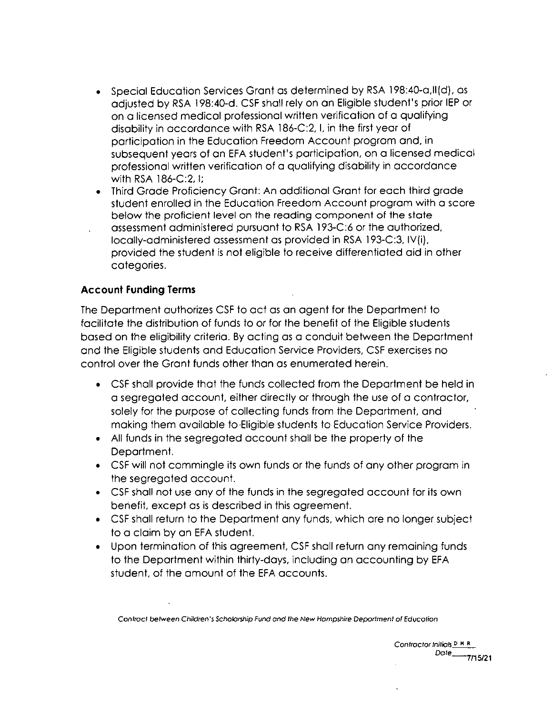- special Education Services Grant as determined by RSA 198:40-aJI(d), as adjusted by RSA 198:40-d. CSF shall rely on an Eligible student's prior IEP or on a licensed medical professional written verification of a qualifying disability in accordance with RSA 186-C:2, 1, in the first year of participation in the Education Freedom Account program and, in subsequent years of on EFA student's participation, on a licensed medical professional written verification of a qualifying disability in accordance with RSA 186-C:2, 1;
- Third Grade Proficiency Grant: An additional Grant for each third grade student enrolled in the Education Freedom Account program with a score below the proficient level on the reading component of the state assessment administered pursuant to RSA 193-0:6 or the authorized, locally-administered assessment as provided in RSA 193-C:3, IV(i), provided the student is not eligible to receive differentiated aid in other categories.

## Account Funding Terms

The Department authorizes OSF to act as an agent for the Department to facilitate the distribution of funds to or for the benefit of the Eligible students based on the eligibility criteria. By acting as a conduit between the Department and the Eligible students and Education Service Providers, OSF exercises no control over the Grant funds other than as enumerated herein.

- OSF shall provide that the funds collected from the Department be held in a segregated account, either directly or through the use of a contractor, solely for the purpose of collecting funds from the Department, and making them available to Eligible students to Education Service Providers.
- All funds in the segregated account shall be the property of the Department.
- OSF will not commingle its own funds or the funds of any other program in the segregated account.
- OSF shall not use any of the funds in the segregated account for its own benefit, except as is described in this agreement.
- OSF shall return to the Department any funds, which are no longer subject to a claim by an EFA student.
- Upon termination of this agreement, OSF shall return any remaining funds to the Department within thirty-days, including an accounting by EFA student, of the amount of the EFA accounts.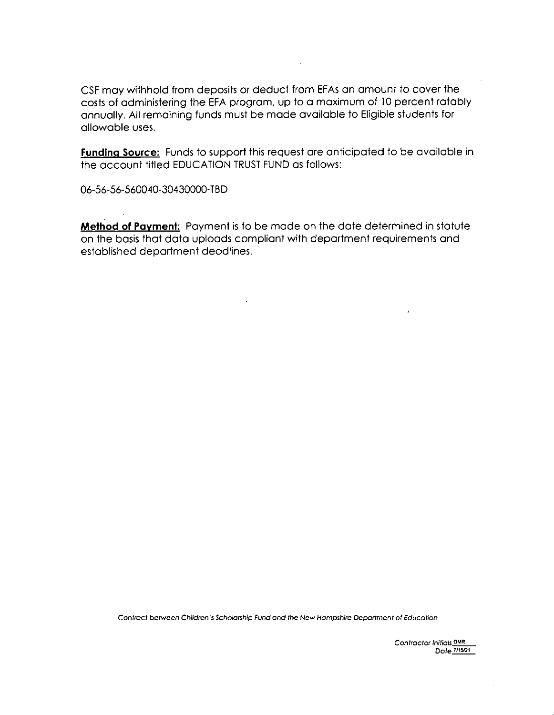CSF may withhold from deposits or deduct from EFAs on omount to cover the costs of odministering the EFA program, up to a maximum of 10 percent ratably annually. All remaining funds must be made available to Eligible students for allowable uses.

Funding Source: Funds to support this request are anticipated to be available in the account titled EDUCATION TRUST FUND as follows:

06-56-56-560040-30430000-TBD

Method of Payment: Payment is to be made on the date determined in statute on the basis that data uploads compliant with department requirements and established department deadlines.

Contract between Children's Scholarship Fund and the New Hampshire Department of Education

Contractor Initials OMR Date 7/15/21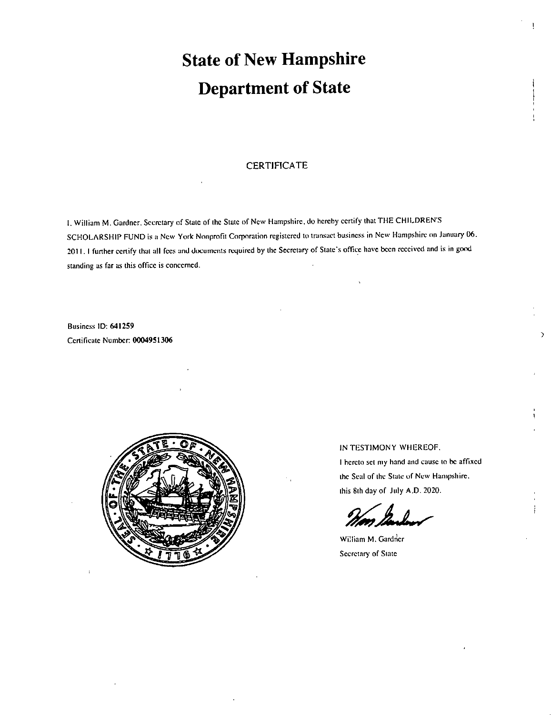# State of New Hampshire Department of State

### **CERTIFICATE**

I. Wiiliam M. Gardner. Secretary of State of the State of New Hampshire, do hereby certify that THE CHILDREN'S SCHOLARSHIP FUND is a New York Nonprofit Corporation registered to transact business in New Hampshire on January 06. 2011. I further certify that all fees and documents required by the Secretary of State's office have been received and is in good standing as far as this office is concerned.

Business ID: 641259 Certificate Number 0004951306



#### IN TESTIMONY WHEREOF.

I hereto set my hand and cause to be affixed the Seal of the State of New Hampshire, this 8ih day of July A.D. 2020.

 $\mathcal{L}$ 

William M. Gardner Secretary of Slate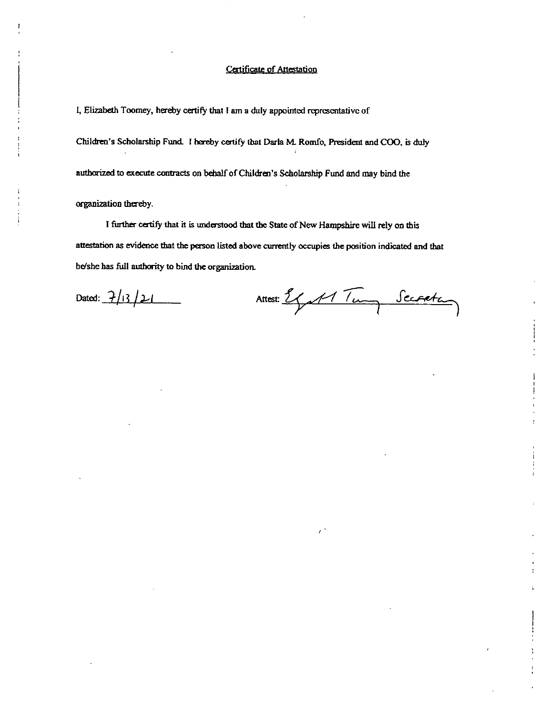#### Certificate of Attestation

1, Elizabeth Toomey, hereby certify that I am a duly appointed representative of

Children's Scholarship Fund. I hereby certify that Darla M. Romfo, President and COO, is duly authorized to execute contracts on behalf of Children's Scholarship Fund and may bind the

organization thereby.

I further certify that it is understood that the State of New Hampshire will rely on this attestation as evidence that the person listed above currently occupies the position indicated and that he/she has full authority to bind the organization.

Dated:  $7/13/21$  Attest:  $\frac{2}{\sqrt{11 \text{ km}}}$  Secreta